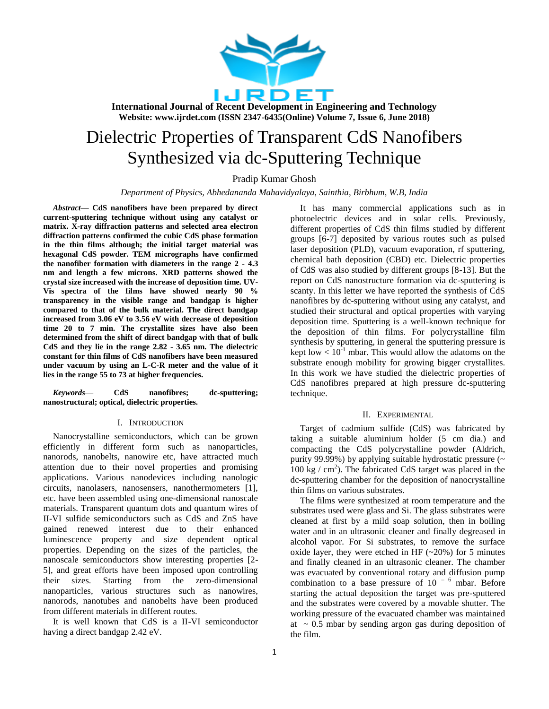

# Dielectric Properties of Transparent CdS Nanofibers Synthesized via dc-Sputtering Technique

Pradip Kumar Ghosh

*Department of Physics, Abhedananda Mahavidyalaya, Sainthia, Birbhum, W.B, India*

*Abstract***— CdS nanofibers have been prepared by direct current-sputtering technique without using any catalyst or matrix. X-ray diffraction patterns and selected area electron diffraction patterns confirmed the cubic CdS phase formation in the thin films although; the initial target material was hexagonal CdS powder. TEM micrographs have confirmed the nanofiber formation with diameters in the range 2 - 4.3 nm and length a few microns. XRD patterns showed the crystal size increased with the increase of deposition time. UV-Vis spectra of the films have showed nearly 90 % transparency in the visible range and bandgap is higher compared to that of the bulk material. The direct bandgap increased from 3.06 eV to 3.56 eV with decrease of deposition time 20 to 7 min. The crystallite sizes have also been determined from the shift of direct bandgap with that of bulk CdS and they lie in the range 2.82 - 3.65 nm. The dielectric constant for thin films of CdS nanofibers have been measured under vacuum by using an L-C-R meter and the value of it lies in the range 55 to 73 at higher frequencies.**

*Keywords*— **CdS nanofibres; dc-sputtering; nanostructural; optical, dielectric properties.**

#### I. INTRODUCTION

Nanocrystalline semiconductors, which can be grown efficiently in different form such as nanoparticles, nanorods, nanobelts, nanowire etc, have attracted much attention due to their novel properties and promising applications. Various nanodevices including nanologic circuits, nanolasers, nanosensers, nanothermometers [1], etc. have been assembled using one-dimensional nanoscale materials. Transparent quantum dots and quantum wires of II-VI sulfide semiconductors such as CdS and ZnS have gained renewed interest due to their enhanced luminescence property and size dependent optical properties. Depending on the sizes of the particles, the nanoscale semiconductors show interesting properties [2- 5], and great efforts have been imposed upon controlling their sizes. Starting from the zero-dimensional nanoparticles, various structures such as nanowires, nanorods, nanotubes and nanobelts have been produced from different materials in different routes.

It is well known that CdS is a II-VI semiconductor having a direct bandgap 2.42 eV.

It has many commercial applications such as in photoelectric devices and in solar cells. Previously, different properties of CdS thin films studied by different groups [6-7] deposited by various routes such as pulsed laser deposition (PLD), vacuum evaporation, rf sputtering, chemical bath deposition (CBD) etc. Dielectric properties of CdS was also studied by different groups [8-13]. But the report on CdS nanostructure formation via dc-sputtering is scanty. In this letter we have reported the synthesis of CdS nanofibres by dc-sputtering without using any catalyst, and studied their structural and optical properties with varying deposition time. Sputtering is a well-known technique for the deposition of thin films. For polycrystalline film synthesis by sputtering, in general the sputtering pressure is kept low  $< 10^{-1}$  mbar. This would allow the adatoms on the substrate enough mobility for growing bigger crystallites. In this work we have studied the dielectric properties of CdS nanofibres prepared at high pressure dc-sputtering technique.

#### II. EXPERIMENTAL

Target of cadmium sulfide (CdS) was fabricated by taking a suitable aluminium holder (5 cm dia.) and compacting the CdS polycrystalline powder (Aldrich, purity 99.99%) by applying suitable hydrostatic pressure  $(\sim$  $100 \text{ kg}$  / cm<sup>2</sup>). The fabricated CdS target was placed in the dc-sputtering chamber for the deposition of nanocrystalline thin films on various substrates.

The films were synthesized at room temperature and the substrates used were glass and Si. The glass substrates were cleaned at first by a mild soap solution, then in boiling water and in an ultrasonic cleaner and finally degreased in alcohol vapor. For Si substrates, to remove the surface oxide layer, they were etched in HF  $(-20%)$  for 5 minutes and finally cleaned in an ultrasonic cleaner. The chamber was evacuated by conventional rotary and diffusion pump combination to a base pressure of  $10^{-6}$  mbar. Before starting the actual deposition the target was pre-sputtered and the substrates were covered by a movable shutter. The working pressure of the evacuated chamber was maintained at  $\sim 0.5$  mbar by sending argon gas during deposition of the film.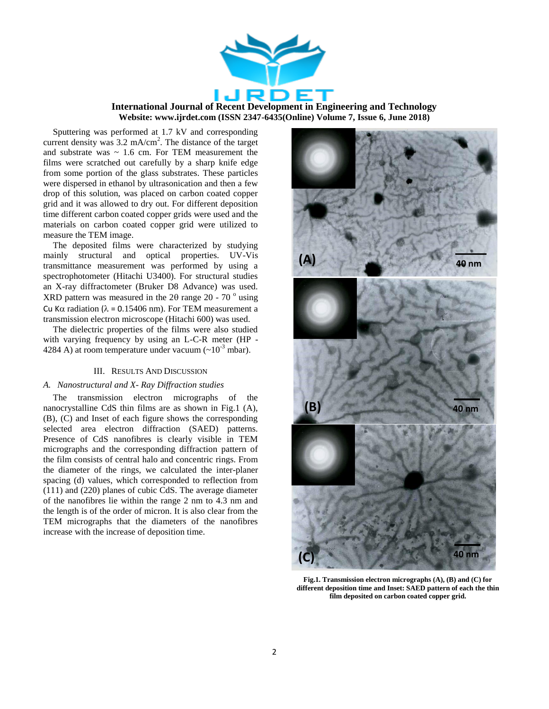

Sputtering was performed at 1.7 kV and corresponding current density was 3.2 mA/cm<sup>2</sup>. The distance of the target and substrate was  $\sim 1.6$  cm. For TEM measurement the films were scratched out carefully by a sharp knife edge from some portion of the glass substrates. These particles were dispersed in ethanol by ultrasonication and then a few drop of this solution, was placed on carbon coated copper grid and it was allowed to dry out. For different deposition time different carbon coated copper grids were used and the materials on carbon coated copper grid were utilized to measure the TEM image.

The deposited films were characterized by studying mainly structural and optical properties. UV-Vis transmittance measurement was performed by using a spectrophotometer (Hitachi U3400). For structural studies an X-ray diffractometer (Bruker D8 Advance) was used. XRD pattern was measured in the  $2\theta$  range  $20$  -  $70^\circ$  using Cu K $\alpha$  radiation ( $\lambda$  = 0.15406 nm). For TEM measurement a transmission electron microscope (Hitachi 600) was used.

The dielectric properties of the films were also studied with varying frequency by using an L-C-R meter (HP - 4284 A) at room temperature under vacuum  $({\sim}10^{-3}$  mbar).

#### III. RESULTS AND DISCUSSION

#### *A. Nanostructural and X- Ray Diffraction studies*

The transmission electron micrographs of the nanocrystalline CdS thin films are as shown in Fig.1 (A), (B), (C) and Inset of each figure shows the corresponding selected area electron diffraction (SAED) patterns. Presence of CdS nanofibres is clearly visible in TEM micrographs and the corresponding diffraction pattern of the film consists of central halo and concentric rings. From the diameter of the rings, we calculated the inter-planer spacing (d) values, which corresponded to reflection from (111) and (220) planes of cubic CdS. The average diameter of the nanofibres lie within the range 2 nm to 4.3 nm and the length is of the order of micron. It is also clear from the TEM micrographs that the diameters of the nanofibres increase with the increase of deposition time.



**Fig.1. Transmission electron micrographs (A), (B) and (C) for different deposition time and Inset: SAED pattern of each the thin film deposited on carbon coated copper grid.**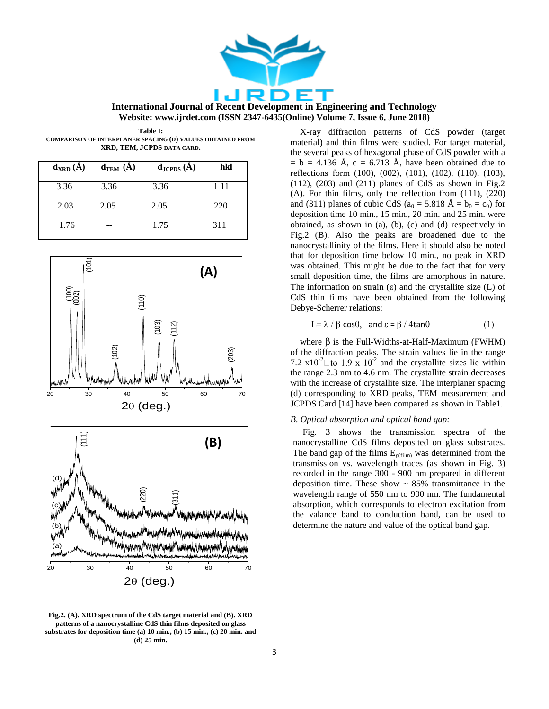

**Table I: COMPARISON OF INTERPLANER SPACING (D) VALUES OBTAINED FROM XRD, TEM, JCPDS DATA CARD.**

| $d_{XRD}(A)$ | $d_{TEM}$ (A) | $\mathbf{d}_{\text{JCPDS}}\left(\mathbf{A}\right)$ | hkl   |
|--------------|---------------|----------------------------------------------------|-------|
| 3.36         | 3.36          | 3.36                                               | 1 1 1 |
| 2.03         | 2.05          | 2.05                                               | 220   |
| 1.76         |               | 1.75                                               | 311   |



**Fig.2. (A). XRD spectrum of the CdS target material and (B). XRD patterns of a nanocrystalline CdS thin films deposited on glass substrates for deposition time (a) 10 min., (b) 15 min., (c) 20 min. and (d) 25 min.**

X-ray diffraction patterns of CdS powder (target material) and thin films were studied. For target material, the several peaks of hexagonal phase of CdS powder with a  $= b = 4.136$  Å, c = 6.713 Å, have been obtained due to reflections form (100), (002), (101), (102), (110), (103),  $(112)$ ,  $(203)$  and  $(211)$  planes of CdS as shown in Fig.2 (A). For thin films, only the reflection from (111), (220) and (311) planes of cubic CdS ( $a_0 = 5.818$  Å =  $b_0 = c_0$ ) for deposition time 10 min., 15 min., 20 min. and 25 min. were obtained, as shown in (a), (b), (c) and (d) respectively in Fig.2 (B). Also the peaks are broadened due to the nanocrystallinity of the films. Here it should also be noted that for deposition time below 10 min., no peak in XRD was obtained. This might be due to the fact that for very small deposition time, the films are amorphous in nature. The information on strain  $(\epsilon)$  and the crystallite size  $(L)$  of CdS thin films have been obtained from the following Debye-Scherrer relations:

$$
L = \lambda / \beta \cos \theta, \text{ and } \varepsilon = \beta / 4 \tan \theta \tag{1}
$$

where  $\beta$  is the Full-Widths-at-Half-Maximum (FWHM) of the diffraction peaks. The strain values lie in the range 7.2  $\times 10^{-2}$  to 1.9  $\times 10^{-2}$  and the crystallite sizes lie within the range 2.3 nm to 4.6 nm. The crystallite strain decreases with the increase of crystallite size. The interplaner spacing (d) corresponding to XRD peaks, TEM measurement and JCPDS Card [14] have been compared as shown in Table1.

#### *B. Optical absorption and optical band gap:*

Fig. 3 shows the transmission spectra of the nanocrystalline CdS films deposited on glass substrates. The band gap of the films  $E_{\text{g(film)}}$  was determined from the transmission vs. wavelength traces (as shown in Fig. 3) recorded in the range 300 - 900 nm prepared in different deposition time. These show  $\sim$  85% transmittance in the wavelength range of 550 nm to 900 nm. The fundamental absorption, which corresponds to electron excitation from the valance band to conduction band, can be used to determine the nature and value of the optical band gap.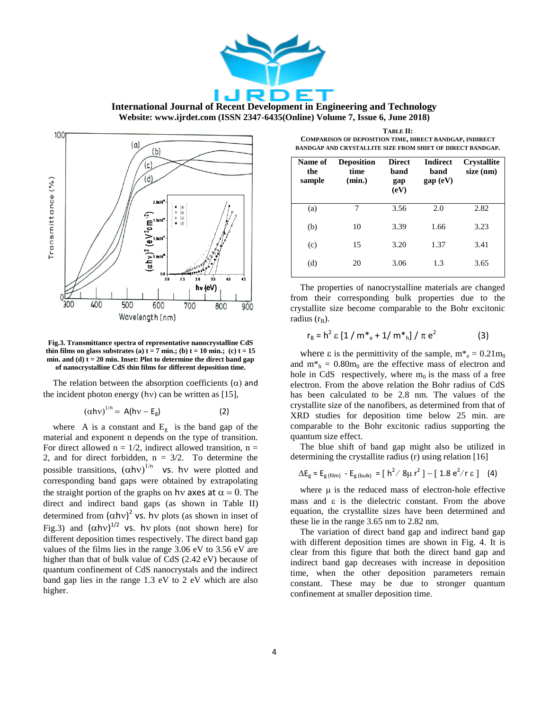

**International Journal of Recent Development in Engineering and Technology**

**Website: www.ijrdet.com (ISSN 2347-6435(Online) Volume 7, Issue 6, June 2018)**



**Fig.3. Transmittance spectra of representative nanocrystalline CdS thin films on glass substrates (a)**  $t = 7$  **min.; (b)**  $t = 10$  **min.; (c)**  $t = 15$ **min. and (d) t = 20 min. Inset: Plot to determine the direct band gap of nanocrystalline CdS thin films for different deposition time.**

The relation between the absorption coefficients  $(\alpha)$  and the incident photon energy (hv) can be written as  $[15]$ ,

$$
(\alpha h v)^{1/n} = A(hv - E_g)
$$
 (2)

where A is a constant and  $E_g$  is the band gap of the material and exponent n depends on the type of transition. For direct allowed  $n = 1/2$ , indirect allowed transition,  $n =$ 2, and for direct forbidden,  $n = 3/2$ . To determine the possible transitions,  $(\alpha h v)^{1/n}$  vs. hv were plotted and corresponding band gaps were obtained by extrapolating the straight portion of the graphs on hv axes at  $\alpha = 0$ . The direct and indirect band gaps (as shown in Table II) determined from  $(\alpha h v)^2$  vs. hv plots (as shown in inset of Fig.3) and  $(\alpha h v)^{1/2}$  vs. hv plots (not shown here) for different deposition times respectively. The direct band gap values of the films lies in the range 3.06 eV to 3.56 eV are higher than that of bulk value of CdS (2.42 eV) because of quantum confinement of CdS nanocrystals and the indirect band gap lies in the range 1.3 eV to 2 eV which are also higher.

**TABLE II: COMPARISON OF DEPOSITION TIME, DIRECT BANDGAP, INDIRECT BANDGAP AND CRYSTALLITE SIZE FROM SHIFT OF DIRECT BANDGAP.**

| Name of<br>the<br>sample | <b>Deposition</b><br>time<br>(min.) | <b>Direct</b><br>band<br>gap<br>(eV) | Indirect<br>band<br>gap (eV) | <b>Crystallite</b><br>size (nm) |
|--------------------------|-------------------------------------|--------------------------------------|------------------------------|---------------------------------|
| (a)                      | 7                                   | 3.56                                 | 2.0                          | 2.82                            |
| (b)                      | 10                                  | 3.39                                 | 1.66                         | 3.23                            |
| (c)                      | 15                                  | 3.20                                 | 1.37                         | 3.41                            |
| (d)                      | 20                                  | 3.06                                 | 1.3                          | 3.65                            |

The properties of nanocrystalline materials are changed from their corresponding bulk properties due to the crystallite size become comparable to the Bohr excitonic radius  $(r_B)$ .

$$
r_{B} = h^{2} \varepsilon [1 / m^{*}{}_{e} + 1 / m^{*}{}_{h}] / \pi e^{2}
$$
 (3)

where  $\varepsilon$  is the permittivity of the sample,  $m^*_{e} = 0.21 m_0$ and  $m<sup>*</sup><sub>h</sub> = 0.80m<sub>0</sub>$  are the effective mass of electron and hole in CdS respectively, where  $m_0$  is the mass of a free electron. From the above relation the Bohr radius of CdS has been calculated to be 2.8 nm. The values of the crystallite size of the nanofibers, as determined from that of XRD studies for deposition time below 25 min. are comparable to the Bohr excitonic radius supporting the quantum size effect.

The blue shift of band gap might also be utilized in determining the crystallite radius (r) using relation [16]

$$
\Delta E_g = E_{g\,\text{(film)}} - E_{g\,\text{(bulk)}} = [h^2 / 8\mu r^2] - [1.8 e^2 / r \,\epsilon] \quad (4)
$$

where  $\mu$  is the reduced mass of electron-hole effective mass and  $\varepsilon$  is the dielectric constant. From the above equation, the crystallite sizes have been determined and these lie in the range 3.65 nm to 2.82 nm.

The variation of direct band gap and indirect band gap with different deposition times are shown in Fig. 4. It is clear from this figure that both the direct band gap and indirect band gap decreases with increase in deposition time, when the other deposition parameters remain constant. These may be due to stronger quantum confinement at smaller deposition time.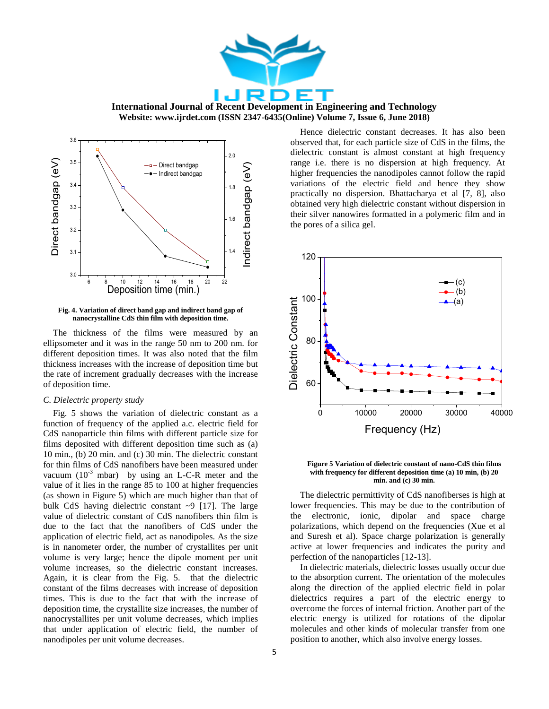



**Fig. 4. Variation of direct band gap and indirect band gap of nanocrystalline CdS thin film with deposition time.**

The thickness of the films were measured by an ellipsometer and it was in the range 50 nm to 200 nm. for different deposition times. It was also noted that the film thickness increases with the increase of deposition time but the rate of increment gradually decreases with the increase of deposition time.

#### *C. Dielectric property study*

Fig. 5 shows the variation of dielectric constant as a function of frequency of the applied a.c. electric field for CdS nanoparticle thin films with different particle size for films deposited with different deposition time such as (a) 10 min., (b) 20 min. and (c) 30 min. The dielectric constant for thin films of CdS nanofibers have been measured under vacuum  $(10^{-3} \text{ mbar})$  by using an L-C-R meter and the value of it lies in the range 85 to 100 at higher frequencies (as shown in Figure 5) which are much higher than that of bulk CdS having dielectric constant ~9 [17]. The large value of dielectric constant of CdS nanofibers thin film is due to the fact that the nanofibers of CdS under the application of electric field, act as nanodipoles. As the size is in nanometer order, the number of crystallites per unit volume is very large; hence the dipole moment per unit volume increases, so the dielectric constant increases. Again, it is clear from the Fig. 5. that the dielectric constant of the films decreases with increase of deposition times. This is due to the fact that with the increase of deposition time, the crystallite size increases, the number of nanocrystallites per unit volume decreases, which implies that under application of electric field, the number of nanodipoles per unit volume decreases.

Hence dielectric constant decreases. It has also been observed that, for each particle size of CdS in the films, the dielectric constant is almost constant at high frequency range i.e. there is no dispersion at high frequency. At higher frequencies the nanodipoles cannot follow the rapid variations of the electric field and hence they show practically no dispersion. Bhattacharya et al [7, 8], also obtained very high dielectric constant without dispersion in their silver nanowires formatted in a polymeric film and in the pores of a silica gel.



**Figure 5 Variation of dielectric constant of nano-CdS thin films with frequency for different deposition time (a) 10 min, (b) 20 min. and (c) 30 min.**

The dielectric permittivity of CdS nanofiberses is high at lower frequencies. This may be due to the contribution of the electronic, ionic, dipolar and space charge polarizations, which depend on the frequencies (Xue et al and Suresh et al). Space charge polarization is generally active at lower frequencies and indicates the purity and perfection of the nanoparticles [12-13].

In dielectric materials, dielectric losses usually occur due to the absorption current. The orientation of the molecules along the direction of the applied electric field in polar dielectrics requires a part of the electric energy to overcome the forces of internal friction. Another part of the electric energy is utilized for rotations of the dipolar molecules and other kinds of molecular transfer from one position to another, which also involve energy losses.